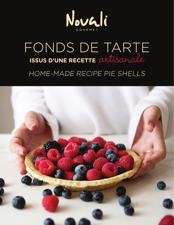

## FONDS DE TARTE **ISSUS D'UNE RECETTE** artisanale HOME-MADE RECIPE PIE SHELLS